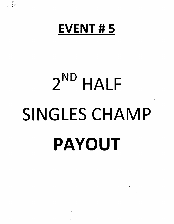## EVENT # 5

 $\frac{\theta}{r}$ .  $\mathbf{r} \cdot \frac{1}{2} \mathbf{e}$ .

# $2^{\text{ND}}$  HALF SINGLES CHAMP PAYOUT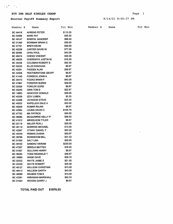#### EV5 2ND HALF SINGLES CHAMP

 $\mathcal{L}_{\mathbf{A}}(\mathbf{f}) = \mathcal{L}_{\mathbf{A}}(\mathbf{f})$ 

 $\sim$ 

#### Shooter Payoff Summary Report

#### 8/14/21 8:00:37 PM

 $\sim 10^{-1}$ 

 $\sim$ 

 $\frac{1}{2} \frac{1}{2} \frac{1}{2} \frac{1}{2} \frac{1}{2} \frac{1}{2} \frac{1}{2} \frac{1}{2} \frac{1}{2} \frac{1}{2} \frac{1}{2} \frac{1}{2} \frac{1}{2} \frac{1}{2} \frac{1}{2} \frac{1}{2} \frac{1}{2} \frac{1}{2} \frac{1}{2} \frac{1}{2} \frac{1}{2} \frac{1}{2} \frac{1}{2} \frac{1}{2} \frac{1}{2} \frac{1}{2} \frac{1}{2} \frac{1}{2} \frac{1}{2} \frac{1}{2} \frac{1}{2} \frac{$ 

| Member #             | Name                                            |  | Tot Won             |
|----------------------|-------------------------------------------------|--|---------------------|
|                      | BC 44418 AHRENS PETER                           |  | \$110.25            |
|                      | BC 02066 BARE PAT                               |  | \$35.00             |
|                      | BC 49147 BINEPAL SANDEEP                        |  | \$88.00             |
| <b>BC 01260</b>      | BOWMAN BRIAN G                                  |  | \$39.00             |
| <b>BC 47791</b>      | <b>BRETI KEVIN</b>                              |  | \$49.50             |
| BC 40239             | <b>CARTER DAVID W</b>                           |  | \$77.00             |
| <b>BC 02484</b>      | <b>CHAU PAUL</b>                                |  | \$43.00             |
| BC 46474             | <b>CHENG VINCENT</b>                            |  | \$35.00             |
| <b>BC 48230</b>      | <b>CHEREWYK JUSTIN W</b>                        |  | \$16.00             |
| BC 35436             | <b>COLEMAN ROBERT E</b>                         |  | \$92.00             |
| <b>BC 02030</b>      | <b>ELLIS DONOVAN</b>                            |  | \$8.67              |
| BC 40291             | FADDEN ALAN                                     |  | \$56.67             |
| <b>BC 34508</b>      | <b>FEATHERSTONE GEOFF</b>                       |  | \$8.67              |
|                      | BC 41440 FONSECA JOHN A                         |  | \$8.67              |
|                      | BC 35473 FOOKS BRIAN F                          |  | \$42.00             |
| BC 47861             | <b>FORSTER BURKE</b>                            |  | \$39.00             |
|                      | BC 02520 FOWLER GORD                            |  | \$8.67              |
| <b>BC 45240</b>      | <b>GINN TOM E</b>                               |  | \$22.67             |
|                      | BC 14803 HANCOCK DONALD                         |  | \$39.00             |
| BC 45258             | <b>IZOV LUBEN</b>                               |  | \$5.25              |
| BC 44488             | <b>JOHNSON STEVE</b>                            |  | \$25.00             |
| <b>BC 45003</b>      | KAPELUCK DALE A                                 |  | \$20.00             |
| <b>BC 49009</b>      | KUMAR RAJAN                                     |  | \$8.67              |
| <b>BC 42064</b>      | LEUNG DAVID C                                   |  | \$105.75            |
| <b>BC 47753</b>      | <b>MA PATRICK</b>                               |  | \$45.00             |
| <b>BC 36085</b>      | <b>MCQUARRIE KELLY P</b>                        |  | \$58.50             |
| BC 41912             | <b>MIKKELSON TYLER</b>                          |  | \$8.67              |
| BC 02118             | <b>MILLER RON J</b>                             |  | \$30.00             |
| BC 48119             | <b>MORRISS MICHAEL</b>                          |  | \$13.00             |
| BC 42067             | OTWAY DANIEL F                                  |  | \$52.00             |
| <b>BC 49349</b>      | <b>REMIAS DUSAN</b>                             |  | \$50.67             |
| <b>BC 39768</b>      | ROSEBOOM BILL                                   |  | \$31.33             |
| <b>BC 01930</b>      | <b>SALT LISA</b>                                |  | \$20.00             |
| <b>BC 49102</b>      | SANDHU VIKRAM                                   |  | \$220.00<br>\$18.25 |
| <b>BC 47207</b>      | <b>SEKELA MATTEO</b>                            |  | \$8.67              |
| <b>BC 01957</b>      | <b>SULLIVAN HARRY</b><br><b>TODD REGINALD T</b> |  |                     |
| BC 36284             |                                                 |  | \$49.67<br>\$58.33  |
| BC 16660<br>BC 02532 | <b>WADE DAVE</b>                                |  | \$21.50             |
|                      | WHITE JAMIE E<br><b>WHITE ROBERT</b>            |  | \$45.00             |
| BC 02530<br>BC 48127 | <b>WILLSON CHRISTIAN</b>                        |  | \$13.00             |
| BC 46412             | <b>WILLSON GARTH</b>                            |  | \$43.00             |
| <b>BC 48580</b>      | <b>WILMAN TOM E</b>                             |  | \$15.00 .           |
| BC 42361             | <b>WIRAWAN MARSHALL</b>                         |  | \$82.33             |
| BC 01024             | <b>WOODS GARRY J</b>                            |  | \$8.67              |
|                      |                                                 |  |                     |

TOTAL PAID OUT \$1876.03

Page 1

Member # Name Tot Won

 $\sim$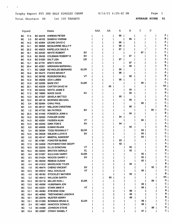$\bullet$  . The second second  $\bullet$ 

 $\sim$ 

AVERAGE SCORE 91

|           | Squad |                 | Name                        |             | AAA | AA | А  | в  | с    | D  |                |
|-----------|-------|-----------------|-----------------------------|-------------|-----|----|----|----|------|----|----------------|
| BС        | 17.4  | BC 44418        | <b>AHRENS PETER</b>         |             |     |    | 99 |    |      |    | A              |
| <b>BC</b> | 3.3   | BC 49102        | <b>SANDHU VIKRAM</b>        |             |     |    |    | 99 |      |    | в              |
| <b>BC</b> | 14.2  | <b>BC 42064</b> | LEUNG DAVID C               |             |     |    | 98 |    |      |    | А              |
| BC        | 14.1  | <b>BC 36085</b> | <b>MCQUARRIE KELLY P</b>    |             |     |    | 98 |    |      |    | A              |
| <b>BC</b> | 20.2  | <b>BC 45003</b> | <b>KAPELUCK DALE A</b>      |             |     |    | 97 |    |      |    | Α              |
| <b>BC</b> | 16.1  | <b>BC 02530</b> | <b>WHITE ROBERT</b>         | sv          |     |    |    |    | 97   |    | с              |
| BC        | 15.5  | BC 35436        | <b>COLEMAN ROBERT E</b>     | sv          |     |    |    | 97 |      |    | в              |
| BC        | 15.4  | <b>BC 01930</b> | <b>SALT LISA</b>            | LDI         |     |    | 97 |    |      |    | Α              |
| <b>BC</b> | 13.1  | <b>BC 47791</b> | <b>BRETI KEVIN</b>          |             |     |    |    | 97 |      |    | в              |
| BC        | 20.4  | <b>BC 42361</b> | <b>WIRAWAN MARSHALL</b>     |             |     |    |    | 96 |      |    | в              |
| BС        | 17.1  | <b>BC 12826</b> | <b>REYNOLDS BERNARD</b>     | <b>ELDR</b> |     |    | 96 |    |      |    | Α              |
| BC        | 16.4  | <b>BC 35473</b> | <b>FOOKS BRIAN F</b>        |             |     |    | 96 |    |      |    | Α              |
| BC        | 16.3  | <b>BC 39768</b> | <b>ROSEBOOM BILL</b>        | VT          |     |    |    | 96 |      |    | В              |
| <b>BC</b> | 14.4  | <b>BC 45258</b> | <b>IZOV LUBEN</b>           |             |     |    | 96 |    |      |    | А              |
| <b>BC</b> | 10.5  | <b>BC 02066</b> | <b>BARE PAT</b>             | <b>ELDR</b> |     |    |    |    | 96   |    | С              |
| BC        | 20.1  | <b>BC 40239</b> | <b>CARTER DAVID W</b>       |             |     | 95 |    |    |      |    | АΑ             |
| BC        | 17.5  | BC 02532        | <b>WHITE JAMIE E</b>        |             |     |    |    | 95 |      |    | в              |
| ВC        | 17.2  | BC 16660        | <b>WADE DAVE</b>            | sv          |     |    |    | 95 |      |    | в              |
| BC        | 13.3  | <b>BC 47207</b> | <b>SEKELA MATTEO</b>        |             |     |    | 95 |    |      |    | Α              |
| BC        | 10.2  | BC 48119        | <b>MORRISS MICHAEL</b>      |             |     |    |    | 95 |      |    | в              |
| BC        | 5.4   | BC 02484        | <b>CHAU PAUL</b>            |             |     |    |    |    | 95   |    | С              |
| BС        | 4.3   | <b>BC 48127</b> | <b>WILLSON CHRISTIAN</b>    |             |     |    |    | 95 |      |    | в              |
| <b>BC</b> | 1.2   | <b>BC 47753</b> | <b>MA PATRICK</b>           | SV          |     |    |    |    |      | 95 | D              |
| <b>BC</b> | 20.5  | <b>BC 41440</b> | <b>FONSECA JOHN A</b>       |             |     |    |    | 94 |      |    | в              |
| BC        | 15.2  | <b>BC 02520</b> | <b>FOWLER GORD</b>          |             |     |    | 94 |    |      |    | A              |
| BC        | 14.5  | <b>BC 40291</b> | <b>FADDEN ALAN</b>          | VΤ          |     |    |    |    | 94   |    | c              |
| <b>BC</b> | 14.3  | <b>BC 45240</b> | <b>GINN TOM E</b>           | sv          |     |    | 94 |    |      |    | А              |
| BC        | 8.5   | <b>BC 49009</b> | KUMAR RAJAN                 |             |     |    |    | 94 |      |    | в              |
| BC        | 3.4   | BC 36284        | TODD REGINALD T             | ELDR        |     |    |    |    | 94   |    | c              |
| <b>BC</b> | 12.5  | BC 35638        | <b>WILSON LLOYD E</b>       | sv          |     |    |    |    | 93   |    | c              |
| <b>BC</b> | 5.5   | BC 49147        | <b>BINEPAL SANDEEP</b>      |             |     |    |    |    | 93   |    | c              |
| BC        | 4.2   | BC 47861        | <b>FORSTER BURKE</b>        |             |     |    | 93 |    |      |    | Α              |
| <b>BC</b> | 17.3  | BC 34508        | <b>FEATHERSTONE GEOFF</b>   |             |     |    | 92 |    |      |    | А              |
| <b>BC</b> | 16.5  | BC 02030        | <b>ELLIS DONOVAN</b>        | VΤ          |     |    |    | 92 |      |    | в              |
| <b>BC</b> | 16.2  | BC 02044        | <b>BROTEN GERALD</b>        | ΕL          |     |    |    | 92 |      |    | в              |
| BC        | 8.4   |                 | BC 01957 SULLIVAN HARRY     | <b>ELDR</b> |     |    |    |    | 92   |    | С              |
| BC        | 8.3   |                 | BC 01024 WOODS GARRY J      | <b>SV</b>   |     |    |    |    | $92$ |    | С              |
| BC        | 8.1   | <b>BC 49349</b> | <b>REMIAS DUSAN</b>         |             |     |    |    |    | 92   |    | C <sub>1</sub> |
| BC        | 4.4   |                 | BC 41912 MIKKELSON TYLER    |             |     |    |    | 92 |      |    | в              |
| BC        | 1.5   |                 | BC 46474 CHENG VINCENT      | <b>SV</b>   |     |    |    |    |      | 92 | D              |
| <b>BC</b> | 10.3  |                 | BC 00912 HALL DOUGLAS       | VT          |     |    |    |    | 90   |    | c              |
| <b>BC</b> | 4.5   |                 | BC 48182 STOCKLEY MATHEW    |             |     |    |    | 90 |      |    | в              |
| <b>BC</b> | 2.2   |                 | BC 46412 WILLSON GARTH      |             |     | 90 |    |    |      |    | ΑA             |
| <b>BC</b> | 15.3  |                 | BC 02118 MILLER RON J       | <b>ELDR</b> |     |    |    |    |      | 89 | D              |
| <b>BC</b> | 13.5  |                 | BC 46556 HUBERMAN JON       |             |     |    |    |    | 89   |    | C.             |
| <b>BC</b> | 12.2  |                 | BC 42051 STARK MIKE R       | VΤ          |     |    |    |    | 89   |    | C.             |
| BC        | 12.1  |                 | BC 46082 STEVENS DOM        |             |     |    |    | 89 |      |    | в              |
| <b>BC</b> | 10.4  |                 | BC 46965 TREFANENKO JASON N |             |     |    |    | 89 |      |    | в              |
| BC        | 10.1  |                 | BC 29378 MUSTER KERRY       |             |     |    |    | 89 |      |    | в              |
| BC        | 15.1  |                 | BC 01260 BOWMAN BRIAN G     | <b>ELDR</b> |     |    |    |    | 88   |    | C              |
| BC        | 2.4   |                 | BC 14803 HANCOCK DONALD     |             |     |    |    |    | 88   |    | c              |
| BC        | 1.4   | BC 44488        | <b>JOHNSON STEVE</b>        |             |     |    |    |    |      | 88 | D              |
| BC        | 13.4  |                 | BC 42067 OTWAY DANIEL F     |             |     |    |    |    | 87   |    | C.             |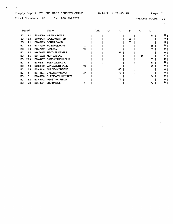Trophy Report EV5 2ND HALF SINGLES CHAMP 8/14/21 4:29:43 PM Page 2 Total Shooters 68 1st 100 TARGETS

 $\mathcal{A}$ 

 $\hat{\mathcal{L}}$ 

 $\bar{z}$ 

 $\Delta \sim 1$ 

 $\mathcal{L}^{\pm}$ 

AVERAGE SCORE 91

|           | Squad |                 | Name                     |     | AAA | AA | А  | в  | C  | D  |   |  |
|-----------|-------|-----------------|--------------------------|-----|-----|----|----|----|----|----|---|--|
| BC.       | 1.1   | <b>BC 48580</b> | <b>WILMAN TOM E</b>      |     |     |    |    |    |    | 87 | D |  |
| ВC        | 12.3  | <b>BC 02473</b> | <b>RAJKOWSKI TED</b>     |     |     |    |    | 86 |    |    | в |  |
| BC        | 4.1   | <b>BC 40983</b> | <b>BONAR DAVID</b>       |     |     |    |    | 86 |    |    | в |  |
| BC        | 5.2   | <b>BC 47900</b> | YU YANG(JUDY)            | LD  |     |    |    |    |    | 85 | D |  |
| BC        | 1.3   | <b>BC 47752</b> | <b>KAM SAM</b>           | VΤ  |     |    |    |    |    | 85 | D |  |
| BC        | 12.4  |                 | NW 00036 ZENTNER DENNIS  |     |     |    | 84 |    |    |    |   |  |
| BC        | 3.5   | <b>BC 46832</b> | <b>MOH BASSAM</b>        |     |     |    |    |    | 84 |    |   |  |
| BC        | 20.3  | <b>BC 44437</b> | <b>RAMSAY MICHAEL H</b>  |     |     |    |    |    |    | 83 | D |  |
| BC        | 5.1   | BC 02483        | YUEN WILLIAM K           |     |     |    |    |    |    | 82 | D |  |
| BC        | 2.3   | BC 32662        | <b>VANDAMENT JACK</b>    | VТ  |     |    |    |    |    | 81 | D |  |
| <b>BC</b> | 2.5   | <b>BC 49414</b> | <b>BURDEYNY BRENT</b>    |     |     |    | 80 |    |    |    | Α |  |
| <b>BC</b> | 3.1   | BC 45623        | <b>CHEUNG WINONA</b>     | LDI |     |    | 79 |    |    |    | А |  |
| <b>BC</b> | 2.1   | <b>BC 48230</b> | <b>CHEREWYK JUSTIN W</b> |     |     |    |    |    |    | 77 | D |  |
| BC.       | 3.2   | <b>BC 49442</b> | <b>AGOSTINO PHIL A</b>   |     |     |    | 75 |    |    |    | Α |  |
| BC        | 5.3   | <b>BC 48231</b> | <b>ZHU DANIEL</b>        | JR  |     |    |    |    |    | 70 | D |  |
|           |       |                 |                          |     |     |    |    |    |    |    |   |  |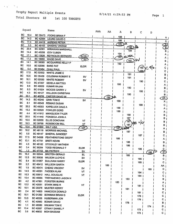### Trophy Report Multiple Events

 $\mathcal{L}(\mathcal{L})$  and  $\mathcal{L}(\mathcal{L})$ 

 $\bar{\beta}$ 

8/14/21 4;29;53 PM Page

 $\sim$ 

 $\sim 10^{-1}$ 

Total Shooters 68 1st 100 TARGETS

|           | Squad |                                    | Name                      |             | AAA | AA  | Α         | в             | с              |            |                                    |
|-----------|-------|------------------------------------|---------------------------|-------------|-----|-----|-----------|---------------|----------------|------------|------------------------------------|
| BC        | 16.4  | BC 35473                           | <b>FOOKS BRIAN F</b>      |             |     |     |           |               |                | D          |                                    |
| <b>BC</b> | 14.2  | BC 42064                           | LEUNG DAVID C             |             |     |     | 196       |               |                |            | A.                                 |
| <b>BC</b> | 17.4  | BC 44418                           | <b>AHRENS PETER</b>       |             |     |     | 196       |               |                |            | A                                  |
| <b>BC</b> | 3.3   | BC 49102                           | <b>SANDHU VIKRAM</b>      |             |     |     | 195 YA    |               |                |            | $\frac{\partial}{\partial \theta}$ |
| <b>BC</b> | 20.4  | BC 42361                           | <b>WIRAWAN MARSHALL</b>   |             |     |     |           | 795           |                |            |                                    |
| BC        | 14.4  | BC 45258                           | <b>IZOV LUBEN</b>         |             |     |     |           | 194           |                |            | в                                  |
| BC        | 17.1  | <b>BC 12826</b>                    | <b>REYNOLDS BERNARD</b>   | ELDR.       |     |     | 194       | <b>PELDER</b> |                |            | A.                                 |
| <b>BC</b> | 17.2  | BC 16660                           | <b>WADE DAVE</b>          | <u>"SV)</u> |     |     | 193       |               |                |            |                                    |
| <b>BC</b> | 14.1  | BC 36085                           | <b>MCQUARRIE KELLY P</b>  |             |     |     |           | 192           | S١             |            |                                    |
| <b>BC</b> | 10.5  | BC 02066                           | <b>BARE PAT</b>           | <b>ELDR</b> |     |     | 192       |               |                |            |                                    |
| <b>BC</b> | 5.4   | BC 02484                           | <b>CHAU PAUL</b>          |             |     |     |           |               | 192            | $\sim$ S/o |                                    |
| <b>BC</b> | 17.5  | <b>BC 02532</b>                    | <b>WHITE JAMIE E</b>      |             |     |     |           |               | 192            |            |                                    |
| <b>BC</b> | 15.5  | BC 35436                           | <b>COLEMAN ROBERT E</b>   |             |     |     |           | 191           |                |            | в                                  |
| <b>BC</b> | 16.1  | BC 02530                           | <b>WHITE ROBERT</b>       | <b>SV</b>   |     |     |           | 191           |                |            | в                                  |
| BC        | 13.3  | <b>BC 47207</b>                    | <b>SEKELA MATTEO</b>      | <b>SV</b>   |     |     |           |               | 190            |            | c                                  |
| вc        | 8.5   | <b>BC 49009</b>                    | <b>KUMAR RAJAN</b>        |             |     |     | 190       |               |                |            |                                    |
| ВC        | 8.3   | <b>BC 01024</b>                    | <b>WOODS GARRY J</b>      |             |     |     |           | 190           |                |            | в                                  |
| BC        | 4.3   | BC 48127                           | <b>WILLSON CHRISTIAN</b>  | SV          |     |     |           |               | 190            |            | С                                  |
| BC        | 20.1  | BC 40239                           | CARTER DAVID W            |             |     |     |           | 190           |                |            | в                                  |
| <b>BC</b> | 14.3  | BC 45240                           | <b>GINN TOM E</b>         |             |     | 189 |           |               |                |            | <b>AA</b>                          |
| <b>BC</b> | 8.1   | BC 49349                           | <b>REMIAS DUSAN</b>       | <b>SV</b>   |     |     | 189       |               |                |            | А                                  |
| BC        | 20.2  | BC 45003                           |                           |             |     |     |           |               | 189            |            | c                                  |
| <b>BC</b> | 15.2  | BC 02520                           | <b>KAPELUCK DALE A</b>    |             |     |     | 188       |               |                |            | Α                                  |
| BС        | 4.4   |                                    | <b>FOWLER GORD</b>        |             |     |     | 188       |               |                |            | Α                                  |
| BC        | 20.5  | BC 41912                           | <b>MIKKELSON TYLER</b>    |             |     |     |           | 188           |                |            | в                                  |
| BС        | 16.5  | <b>BC 41440</b><br><b>BC 02030</b> | FONSECA JOHN A            |             |     |     |           | 187           |                |            | в                                  |
| BС        | 16.3  |                                    | <b>ELLIS DONOVAN</b>      | ٧T          |     |     |           | 187           | $s$ $ O $<br>烛 |            | в                                  |
| <b>BC</b> | 15.4  | BC 39768                           | <b>ROSEBOOM BILL</b>      | v٣          |     |     |           | 187           |                |            | в                                  |
| BС        | 10.2  | BC 01930                           | <b>SALT LISA</b>          | <u>LDI</u>  |     |     | 187) LADT |               |                |            | Α                                  |
| <b>BC</b> | 5.5   | BC 48119                           | <b>MORRISS MICHAEL</b>    |             |     |     |           | 187           |                |            | в                                  |
| <b>BC</b> |       | BC 49147                           | <b>BINEPAL SANDEEP</b>    |             |     |     |           |               | 187            |            | c                                  |
|           | 17.3  | BC 34508                           | <b>FEATHERSTONE GEOFF</b> |             |     |     | 186       |               |                |            |                                    |
| BC        | 13.1  | <b>BC 47791</b>                    | <b>BRETI KEVIN</b>        |             |     |     |           | 186           |                |            | в                                  |
| BС        | 4.5   | <b>BC 48182</b>                    | <b>STOCKLEY MATHEW</b>    |             |     |     |           | 186           |                |            | в                                  |
| BС        | 3.4   | BC 36284                           | <b>TODD REGINALD T</b>    | <b>ELDR</b> |     |     |           |               | 186            |            |                                    |
| BC        | 1.2   | BC 47753                           | <b>MA PATRICK</b>         | SV          |     |     |           |               |                | 186        | $\overline{\mathsf{D}}$            |
| BC        | 16.2  | BC 02044                           | <b>BROTEN GERALD</b>      | <b>EL</b>   |     |     |           | 185           |                |            | в                                  |
| BC        | 12.5  |                                    | BC 35638 WILSON LLOYD E   | SV          |     |     |           |               | 185            |            | c                                  |
| BC        | 8.4   | <b>BC 01957</b>                    | <b>SULLIVAN HARRY</b>     | ELDR        |     |     |           |               | $185$          |            | C                                  |
| BС        | 2.2   | BC 46412                           | <b>WILLSON GARTH</b>      |             |     | 185 |           |               |                |            | AA                                 |
| BC        | 1.5   | BC 46474                           | <b>CHENG VINCENT</b>      | sv          |     |     |           |               |                | 185        | D                                  |
| BC        | 14.5  | BC 40291                           | <b>FADDEN ALAN</b>        | ٧T          |     |     |           |               | 184            |            | с                                  |
| BС        | 10.3  | BC 00912                           | <b>HALL DOUGLAS</b>       | v٢          |     |     |           |               | $184$          |            | c                                  |
| BС        | 10.4  | BC 46965                           | TREFANENKO JASON N        |             |     |     |           | 183           |                |            | в                                  |
| BC        | 4.2   | BC 47861                           | <b>FORSTER BURKE</b>      |             |     |     | 183       |               |                |            | A                                  |
| BC        | 12.2  | BC 42051                           | <b>STARK MIKE R</b>       | VT          |     |     |           |               | 181            |            | С                                  |
| BС        | 10.1  | BC 29378                           | <b>MUSTER KERRY</b>       |             |     |     |           | 181           |                |            | в                                  |
| BC        | 2.4   | BC 14803                           | <b>HANCOCK DONALD</b>     |             |     |     |           |               | $181$          |            | С                                  |
| BС        | 15.1  | BC 01260                           | <b>BOWMAN BRIAN G</b>     | <b>ELDR</b> |     |     |           |               | $178$          |            | с                                  |
| BC        | 13.5  | BC 46556                           | <b>HUBERMAN JON</b>       |             |     |     |           |               | $176$          |            | с                                  |
| BC        | 4.1   | BC 40983                           | <b>BONAR DAVID</b>        |             |     |     |           | 176           |                |            | в                                  |
| BC        | 1.1   | BC 48580                           | <b>WILMAN TOM E</b>       |             |     |     |           |               |                | 174        | D                                  |
| BС        | 13.4  | BC 42067                           | OTWAY DANIEL F            |             |     |     |           |               | 173            |            | С                                  |
| вс        | 3.5   | <b>BC 46832</b>                    | <b>MOH BASSAM</b>         |             |     |     |           |               | 173            |            | C                                  |
|           |       |                                    |                           |             |     |     |           |               |                |            |                                    |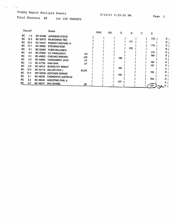$\mathcal{F}_{\mathcal{A}}$ 

Total Shooters 68 1st 100 TARGETS

8/14/21 4:29:54 PM

Page 2

 $\overline{D}$  |  $\overline{B}$   $\overline{I}$  $\overline{D}$   $\overline{I}$  $\overline{B}$  i  $D_1$  $D_1$  $A<sub>1</sub>$  $D_1$  $\overline{D}$  i  $A<sub>1</sub>$  $\overline{D}$  i  $A<sub>1</sub>$  $D_1$  $\begin{array}{c} A \\ D \end{array}$ 

|           | Squad |                 | Name                     |             | AAA | AA | A   | в   | C | D   |
|-----------|-------|-----------------|--------------------------|-------------|-----|----|-----|-----|---|-----|
| BC        | 1.4   | BC 44488        | JOHNSON STEVE            |             |     |    |     |     |   |     |
| BC        | 12.3  | BC 02473        | <b>RAJKOWSKI TED</b>     |             |     |    |     |     |   | 172 |
| BC        | 20.3  | <b>BC 44437</b> | <b>RAMSAY MICHAEL H</b>  |             |     |    |     | 171 |   |     |
| BC        | 12.1  | BC 46082        | <b>STEVENS DOM</b>       |             |     |    |     |     |   | 170 |
| BC.       | 5.1   | BC 02483        | YUEN WILLIAM K           |             |     |    |     | 170 |   |     |
| BC.       | 5.2   | <b>BC 47900</b> | YU YANG(JUDY)            | LD          |     |    |     |     |   | 170 |
| <b>BC</b> | 3.1   | BC 45623        | <b>CHEUNG WINONA</b>     | LDI         |     |    |     |     |   | 169 |
| BC.       | 2.3   | BC 32662        | <b>VANDAMENT JACK</b>    | VT          |     |    | 168 |     |   |     |
| BC        | 1,3   | <b>BC 47752</b> | <b>KAM SAM</b>           | ٧T          |     |    |     |     |   | 168 |
| BC.       | 2.5   | BC 49414        | <b>BURDEYNY BRENT</b>    |             |     |    |     |     |   | 167 |
| BC.       | 15.3  | BC 02118        | MILLER RON J             | <b>ELDR</b> |     |    | 165 |     |   |     |
| BC        | 12.4  | NW 00036        | <b>ZENTNER DENNIS</b>    |             |     |    |     |     |   | 162 |
| ВC        | 2.1   | <b>BC 48230</b> | <b>CHEREWYK JUSTIN W</b> |             |     |    | 155 |     |   |     |
| ВC        | 3.2   | <b>BC 49442</b> | <b>AGOSTINO PHIL A</b>   |             |     |    |     |     |   | 154 |
| ВC        | 5.3   | BC 48231        | <b>ZHU DANIEL</b>        | JR          |     |    | 137 |     |   |     |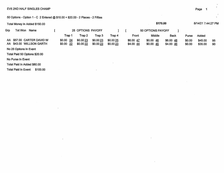#### EV5 2ND HALF SINGLES CHAMP

50 Options - Option 1 - C\_2 Entered @ \$10.00 = \$20.00 - 2 Places - 2 Fifties

 $\sim$ 

| Total Money In Added \$150.00                         |                       |                       |                      |                       |                        | \$170.00                           |                        |                  | 8/14/21 7:44:27 PM |          |
|-------------------------------------------------------|-----------------------|-----------------------|----------------------|-----------------------|------------------------|------------------------------------|------------------------|------------------|--------------------|----------|
| Grp<br>Tot Won<br>Name                                |                       | 25 OPTIONS PAYOFF     |                      |                       |                        | 50 OPTIONS PAYOFF                  |                        |                  |                    |          |
|                                                       | Trap 1                | Trap 2                | Trap 3               | Trap 4                | Front                  | Middle                             | <b>Back</b>            | Purse            | Added              |          |
| AA \$57.00 CARTER DAVID W<br>AA \$43.00 WILLSON GARTH | \$0.00 24<br>\$0.0022 | \$0.0023<br>\$0.00 22 | \$0.0023<br>\$0.0023 | \$0.00 25<br>\$0.0023 | \$6.00 47<br>\$4.00 44 | \$0.0046<br>$$0.00 \underline{45}$ | \$6.00 48<br>\$4.00 46 | \$0.00<br>\$0.00 | \$45.00<br>\$35.00 | 95<br>90 |
| No 25 Options In Event                                |                       |                       |                      |                       |                        |                                    |                        |                  |                    |          |
| Total Paid 50 Options \$20.00                         |                       |                       |                      |                       |                        |                                    |                        |                  |                    |          |
| No Purse In Event                                     |                       |                       |                      |                       |                        |                                    |                        |                  |                    |          |
| Total Paid In Added \$80.00                           |                       |                       |                      |                       |                        |                                    |                        |                  |                    |          |
| <b>Total Paid In Event:</b><br>\$100.00               |                       |                       | $\ddot{\phantom{1}}$ |                       |                        |                                    |                        |                  |                    |          |

 $\bar{z}$ 

Page 1999 – Page 1999 – Page 1999 – Page 1999 – Page 1999 – Page 1999 – Page 1999 – Page 1999 – Page 1999 – Pag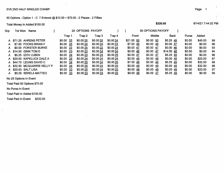#### 50 Options - Option 1-07 Entered @ \$10.00 = \$70.00 - 2 Places - 2 Fifties

Total Money In Added \$150.00

|     | Total Money In Added \$150.00 |              |                   |           |           |                     | \$220.00          |             |        | 8/14/21 /:44:32 PM |     |
|-----|-------------------------------|--------------|-------------------|-----------|-----------|---------------------|-------------------|-------------|--------|--------------------|-----|
| Grp | Tot Won<br><b>Name</b>        |              | 25 OPTIONS PAYOFF |           |           |                     | 50 OPTIONS PAYOFF |             |        |                    |     |
|     |                               | Trap 1       | Trap 2            | Trap 3    | Trap 4    | Front               | Middle            | <b>Back</b> | Purse  | Added              |     |
|     | A \$71.25 AHRENS PETER        | 25<br>\$0.00 | \$0.00 25         | \$0.0025  | \$0.0024  | \$21.00 50          | \$0.0050          | $$5.25$ 49  | \$0.00 | \$45.00            | -99 |
| A.  | \$7.00 FOOKS BRIAN F          | \$0.00 25    | \$0.0024          | \$0.0024  | \$0.0023  | \$7.00 49           | \$0.0048          | \$0.00 47   | \$0.00 | \$0.00             | 96  |
| A   | \$0.00 FORSTER BURKE          | \$0.0022     | \$0.00 25         | \$0.00 22 | \$0.0024  | $$0.00 \; 47$       | \$0.0047          | \$0.0046    | \$0.00 | \$0.00             | 93  |
| A.  | \$14.00 GINN TOM E            | $$0.00$ 23   | \$0.0023          | \$0.00 24 | \$0.0024  | \$0.00 46           | $$0.00$ 47        | \$14.0048   | \$0.00 | \$0.00             | 94  |
| A   | \$5.25 IZOV LUBEN             | \$0.0024     | \$0.0023          | \$0.0024  | \$0.0025  | \$0.00 47           | \$0.0047          | \$5.25 49   | \$0.00 | \$0.00             | 96  |
|     | A \$20.00 KAPELUCK DALE A     | \$0.00 25    | \$0.00 24         | \$0.0024  | \$0.00 24 | \$0.0049            | \$0.0048          | \$0.0048    | \$0.00 | \$20.00            | 97  |
|     | A \$44.75 LEUNG DAVID C       | \$0.00 24    | \$0.0025          | \$0.0024  | \$0.00 25 | \$7.00 49           | \$0.0049          | \$5.25 49   | \$0.00 | \$32.50            | 98  |
|     | A \$32.50 MCQUARRIE KELLY P   | 24<br>\$0.00 | \$0.00 25         | \$0.0024  | \$0.0025  | \$0.0049            | \$0.0049          | \$0.00 49   | \$0.00 | \$32.50            | 98  |
|     | A \$20.00 SALT LISA           | \$0.0023     | \$0.0025          | \$0.00 24 | \$0.00 25 | $$0.00\frac{48}{ }$ | \$0.0049          | \$0.0049    | \$0.00 | \$20.00            | 97  |
| A.  | \$5.25 SEKELA MATTEO          | \$0.00 23    | \$0.0023          | \$0.0024  | \$0.00 25 | \$0.0046            | \$0.0047          | $$5.25$ 49  | \$0.00 | \$0.00             | 95  |

No 25 Options In Event

Total Paid 50 Options \$70.00

No Purse In Event

 $\omega$ 

Total Paid In Added \$150.00

Total Paid In Event: \$220.00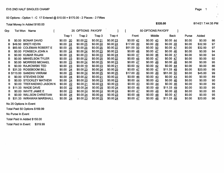50 Options - Option 1 - C 17 Entered @ \$10.00 = \$170.00 - 2 Places - 2 Fifties

Total Money In Added \$150.00

| Grp | Tot Won | Name                      |               | 25 OPTIONS PAYOFF |           |           |                      | 50 OPTIONS PAYOFF      |                        |        |         |    |
|-----|---------|---------------------------|---------------|-------------------|-----------|-----------|----------------------|------------------------|------------------------|--------|---------|----|
|     |         |                           | Trap 1        | Trap 2            | Trap 3    | Trap 4    | Front                | Middle                 | <b>Back</b>            | Purse  | Added   |    |
| в   | \$0.00  | <b>BONAR DAVID</b>        | 20<br>\$0.00  | \$0.00 22         | \$0.00 21 | \$0.0023  | \$0.00 $42$          | $$0.00 \underline{43}$ | $$0.00 \; 44$          | \$0.00 | \$0.00  | 86 |
| в   | \$49.50 | <b>BRETI KEVIN</b>        | \$0.00<br>24  | \$0.0025          | \$0.00 24 | \$0.00 24 | \$17.00 49           | $$0.00$ 49             | \$0.0048               | \$0.00 | \$32.50 | 97 |
|     |         | \$83.50 COLEMAN ROBERT E  | \$0.00<br>25  | \$0.00 25         | \$0.00 25 | \$0.00 22 | \$51.00 50           | \$0.00, 50             | \$0.0047               | \$0.00 | \$32.50 | 97 |
| в   |         | \$0.00 FONSECA JOHN A     | \$0.00<br>24  | \$0.00 24         | \$0.00 23 | \$0.0023  | $$0.00 \; 48$        | \$0.00 47              | \$0.00 46              | \$0.00 | \$0.00  | 94 |
| в   |         | \$0.00 KUMAR RAJAN        | \$0.00<br>24  | \$0.00 23         | \$0.00 23 | \$0.00 24 | \$0.00 47            | \$0.00 46              | \$0.00 47              | \$0.00 | \$0.00  | 94 |
| в   | \$0.00  | <b>MIKKELSON TYLER</b>    | 23<br>\$0.00  | \$0.0022          | \$0.0025  | \$0.00 22 | \$0.0045             | $$0.00$ 47             | \$0.0047               | \$0.00 | \$0.00  | 92 |
| B   |         | \$0.00 MORRISS MICHAEL    | \$0.00<br>23  | \$0.00 24         | \$0.00 25 | \$0.00 23 | \$0.00 47            | $$0.00 \underline{49}$ | \$0.0048               | \$0.00 | \$0.00  | 95 |
| в   |         | \$0.00 RAJKOWSKI TED      | \$0.00<br>23  | \$0.00 19         | \$0.0023  | \$0.0021  | $$0.00 \; 42$        | $$0.00 \frac{42}{ }$   | \$0.0044               | \$0.00 | \$0.00  | 86 |
| В.  |         | \$31.33 ROSEBOOM BILL     | \$0.00<br>24  | \$0.00 23         | \$0.00 24 | \$0.00 25 | $$0.00 \frac{47}{ }$ | $$0.00 \frac{47}{ }$   | \$11.33 49             | \$0.00 | \$20.00 | 96 |
|     |         | B \$113.00 SANDHU VIKRAM  | \$0.00<br>25  | \$0.0024          | \$0.0025  | \$0.00 25 | \$17.00 49           | $$0.00$ 49             | \$51.00 50             | \$0.00 | \$45.00 | 99 |
| в   |         | \$0.00 STEVENS DOM        | \$0.00<br>24  | \$0.00 22         | \$0.0021  | \$0.0022  | $$0.00 \; 46$        | $$0.00$ 43             | \$0.00 43              | \$0.00 | \$0.00  | 89 |
| в   |         | \$0.00 STOCKLEY MATHEW    | \$0.00<br>24  | \$0.00 20         | \$0.00 23 | \$0.00 23 | \$0.0044             | $$0.00 \underline{43}$ | $$0.00 \underline{46}$ | \$0.00 | \$0.00  | 90 |
| в   | \$0.00  | <b>TREFANENKO JASON N</b> | \$0.00<br>22  | \$0.0021          | \$0.0023  | \$0.00 23 | \$0.0043             | $$0.00 \underline{44}$ | $$0.00 \underline{46}$ | \$0.00 | \$0.00  | 89 |
| в   |         | \$11.33 WADE DAVE         | \$0.00<br>-22 | \$0.0024          | \$0.00 25 | \$0.00 24 | \$0.00 46            | \$0.00 49              | \$11.33 49             | \$0.00 | \$0.00  | 95 |
| в   | \$0.00  | <b>WHITE JAMIE E</b>      | \$0.00<br>23  | \$0.0024          | \$0.00 24 | \$0.00 24 | \$0.0047             | $$0.00 \; 48$          | \$0.0048               | \$0.00 | \$0.00  | 95 |
| в   | \$0.00  | <b>WILLSON CHRISTIAN</b>  | \$0.00<br>24  | \$0.0024          | \$0.00 24 | \$0.00 23 | \$0.0048             | $$0.00$ 48             | $$0.00$ 47             | \$0.00 | \$0.00  | 95 |
| в.  | \$31.33 | <b>WIRAWAN MARSHALL</b>   | 24<br>\$0.00  | \$0.0023          | \$0.0025  | \$0.00 24 | \$0.00 47            | $$0.00$ 48             | \$11.33 49             | \$0.00 | \$20.00 | 96 |

No 25 Options In Event

Total Paid 50 Options \$169.99

No Purse In Event

Total Paid In Added \$150.00

Total Paid In Event: \$319.99

\$320.00

8/14/21 7:44:35 PM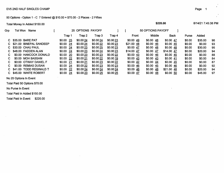#### 50 Options - Option 1 - C 7 Entered @ \$10.00 = \$70.00 - 2 Places - 2 Fifties

Total Money in Added \$150.00

| <b>Grp</b> | Tot Won<br>Name         |                | 25 OPTIONS PAYOFF |          |           |             | 50 OPTIONS PAYOFF   |            |              |         |     |
|------------|-------------------------|----------------|-------------------|----------|-----------|-------------|---------------------|------------|--------------|---------|-----|
|            |                         | Trap 1         | Trap 2            | Trap 3   | Trap 4    | Front       | Middle              | Back       | <b>Purse</b> | Added   |     |
|            | C \$35.00 BARE PAT      | -25<br>\$0.00  | \$0.0024          | \$0.0024 | \$0.0023  | \$0.0049    | $$0.00\frac{48}{ }$ | \$0.00 47  | \$0.00       | \$35.00 | 96  |
| C.         | \$21.00 BINEPAL SANDEEP | \$0.00<br>-24  | \$0.00 24         | \$0.0022 | \$0.0023  | $$21.00$ 48 | \$0.0046            | \$0.0045   | \$0.00       | \$0.00  | 93  |
| C.         | \$30.00 CHAU PAUL       | \$0.00<br>- 24 | \$0.0023          | \$0.0025 | \$0.0023  | $$0.00$ 47  | \$0.0048            | \$0.0048   | \$0.00       | \$30.00 | 95  |
| C.         | \$48.00 FADDEN ALAN     | -24<br>\$0.00  | \$0.0023          | \$0.0024 | \$0.0023  | $$14.00$ 47 | \$0.0047            | \$14.00 47 | \$0.00       | \$20.00 | 94  |
| C.         | \$0.00 HANCOCK DONALD   | -20<br>\$0.00  | \$0.0023          | \$0.0023 | \$0.0022  | \$0.0043    | \$0.0046            | \$0.0045   | \$0.00       | \$0.00  | 88  |
| C.         | \$0.00 MOH BASSAM       | \$0.00 22      | \$0.0021          | \$0.0022 | \$0.00 19 | $$0.00$ 43  | \$0.0043            | \$0.00 41  | \$0.00       | \$0.00  | 84  |
| C.         | \$0:00 OTWAY DANIEL F   | \$0.0021       | \$0.0021          | \$0.0023 | \$0.0022  | \$0.0042    | \$0.0044            | \$0.0045   | \$0.00       | \$0.00  | -87 |
| C.         | \$0.00 REMIAS DUSAN     | $$0.00$ 24     | \$0.0022          | \$0.0023 | \$0.0023  | \$0.00 46   | \$0.0045            | \$0.0046   | \$0.00       | \$0.00  | 92  |
| C.         | \$41.00 TODD REGINALD T | -22<br>\$0.00  | \$0.0024          | \$0.0024 | \$0.0024  | \$0.0046    | \$0.0048            | \$21.00 48 | \$0.00       | \$20.00 | 94  |
| C.         | \$45.00 WHITE ROBERT    | 24<br>\$0.00   | \$0.0023          | \$0.0025 | \$0.00 25 | \$0.0047    | \$0.0048            | \$0.00 50  | \$0.00       | \$45.00 | 97  |

No 25 Options In Event

Total Paid 50 Options \$70.00

No Purse In Event

Total Paid In Added \$150.00

Total Paid In Event: \$220.00

 $\sim$  8/14/21 7:45:38 PM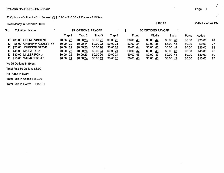#### 50 Options - Option 1 - C 1 Entered @ \$10.00 = \$10.00 - 2 Places - 2 Fifties

Total Money In Added \$150.00

| Grp | Tot Won<br>Name          |           | 25 OPTIONS PAYOFF |          |           |           | 50 OPTIONS PAYOFF |             |        |         |     |
|-----|--------------------------|-----------|-------------------|----------|-----------|-----------|-------------------|-------------|--------|---------|-----|
|     |                          | Trap 1    | Trap 2            | Trap 3   | Trap 4    | Front     | Middle            | <b>Back</b> | Purse  | Added   |     |
| D.  | \$35.00 CHENG VINCENT    | \$0.0023  | \$0.0023          | \$0.0021 | \$0.00 25 | \$0.0046  | \$0.0044          | \$0.00 46   | \$0.00 | \$35.00 | 92  |
| D.  | \$6.00 CHEREWYK JUSTIN W | \$0.00 20 | \$0.0014          | \$0.0022 | \$0.0021  | \$3.00 34 | \$0.00 36         | \$3.00 43   | \$0.00 | \$0.00  | -77 |
| D.  | \$25.00 JOHNSON STEVE    | \$0.00 21 | \$0.0023          | \$0.0020 | \$0.0024  | \$0.0044  | \$0.0043          | \$0.00 44   | \$0.00 | \$25.00 | 88  |
|     | D \$45.00 MA PATRICK     | \$0.0023  | \$0.0024          | \$0.0024 | \$0.0024  | \$0.00 47 | \$0.0048          | \$0.00 48   | \$0.00 | \$45.00 | 95  |
|     | D \$30.00 MILLER RON J   | \$0.0022  | \$0.0023          | \$0.0020 | \$0.0024  | \$0.0045  | \$0.0043          | \$0.0044    | \$0.00 | \$30.00 | 89  |
|     | D \$15.00 WILMAN TOM E   | \$0.00 21 | \$0.0024          | \$0.0019 | \$0.0023  | \$0.0045  | \$0.0043          | \$0.00 42   | \$0.00 | \$15.00 | 87  |
|     | .                        |           |                   |          |           |           |                   |             |        |         |     |

 $\ddot{\phantom{0}}$ 

 $\sim 10$ 

No 25 Options In Event

Total Paid 50 Options \$6.00

No Purse In Event

Total Paid In Added \$150.00

Total Paid In Event: \$156.00

#### $\sim$  3/14/21 7:45:42 PM  $\sim$  3/160.00  $\sim$  3/14/21 7:45:42 PM  $\sim$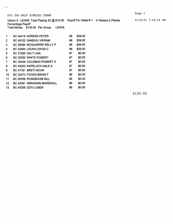$\mathcal{O}_{\mathbf{A}}$  and  $\mathcal{O}_{\mathbf{A}}$ 

Option 2 - LEWIS Total Playing 52 @ \$10.00 Payoff For Class # 1 4 Classes 2 Places 8/14/21 7:49:14 PM

Percentage Payoff Total Money \$130.00 Per Group LEWIS

| 1            | <b>BC 44418 AHRENS PETER</b> | 99 | \$39.00 |
|--------------|------------------------------|----|---------|
| $\mathbf{2}$ | BC 49102 SANDHU VIKRAM       | 99 | \$39.00 |
| 3            | BC 36085 MCQUARRIE KELLY P   | 98 | \$26.00 |
| 4            | BC 42064 LEUNG DAVID C       | 98 | \$26.00 |
| 5            | BC 01930 SALT LISA           | 97 | \$0.00  |
| 6            | BC 02530 WHITE ROBERT        | 97 | \$0.00  |
| 7            | BC 35436 COLEMAN ROBERT E    | 97 | \$0.00  |
| 8            | BC 45003 KAPELUCK DALE A     | 97 | \$0.00  |
| 9            | BC 47791 BRETI KEVIN         | 97 | \$0.00  |
| 10           | BC 35473 FOOKS BRIAN F       | 96 | \$0.00  |
| 11           | BC 39768 ROSEBOOM BILL       | 96 | \$0.00  |
| $12 \,$      | BC 42361 WIRAWAN MARSHALL    | 96 | \$0.00  |
| 13           | BC 45258 IZOV LUBEN          | 96 | \$0.00  |
|              |                              |    |         |

\$130.00

 $\sim$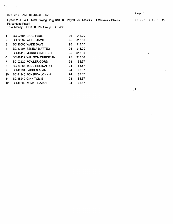$\mathcal{L}_{\mathcal{L}}$ 

 $\mathcal{F}_{\text{max}}$  and  $\mathcal{F}_{\text{max}}$ 

 $\ddot{\phantom{a}}$ 

 $\mathbb{R}^2$ 

Total Money \$130.00 Per Group LEWIS

| 1                 | BC 02484 CHAU PAUL         | 95 | \$13.00 |
|-------------------|----------------------------|----|---------|
| 2                 | BC 02532 WHITE JAMIE E     | 95 | \$13.00 |
| 3                 | BC 16660 WADE DAVE         | 95 | \$13.00 |
| 4                 | BC 47207 SEKELA MATTEO     | 95 | \$13.00 |
| 5                 | BC 48119 MORRISS MICHAEL   | 95 | \$13.00 |
| 6                 | BC 48127 WILLSON CHRISTIAN | 95 | \$13.00 |
| 7                 | BC 02520 FOWLER GORD       | 94 | \$8.67  |
| 8                 | BC 36284 TODD REGINALD T   | 94 | \$8.67  |
| 9                 | BC 40291 FADDEN ALAN       | 94 | \$8.67  |
| 10                | BC 41440 FONSECA JOHN A    | 94 | \$8.67  |
| 11                | <b>BC 45240 GINN TOM E</b> | 94 | \$8.67  |
| $12 \overline{ }$ | BC 49009 KUMAR RAJAN       | 94 | \$8.67  |
|                   |                            |    |         |

\$130.00

Page 1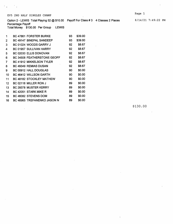$\mathcal{L} \subset \mathcal{L}$  .

Option 2 - LEWIS Total Playing 52 @ \$10.00 Payoff For Class # 3 4 Classes 2 Places

Percentage Payoff Total Money \$130.00 Per Group LEWIS

| 1  | BC 47861 FORSTER BURKE          | 93 | \$39.00 |
|----|---------------------------------|----|---------|
| 2  | BC 49147 BINEPAL SANDEEP        | 93 | \$39.00 |
| 3  | BC 01024 WOODS GARRY J          | 92 | \$8.67  |
| 4  | BC 01957 SULLIVAN HARRY         | 92 | \$8.67  |
| 5  | BC 02030 ELLIS DONOVAN          | 92 | \$8.67  |
| 6  | BC 34508 FEATHERSTONE GEOFF     | 92 | \$8.67  |
| 7  | <b>BC 41912 MIKKELSON TYLER</b> | 92 | \$8.67  |
| 8  | BC 49349 REMIAS DUSAN           | 92 | \$8.67  |
| 9  | BC 00912 HALL DOUGLAS           | 90 | \$0.00  |
| 10 | BC 46412 WILLSON GARTH          | 90 | \$0.00  |
| 11 | BC 48182 STOCKLEY MATHEW        | 90 | \$0.00  |
| 12 | BC 02118 MILLER RON J           | 89 | \$0.00  |
| 13 | BC 29378 MUSTER KERRY           | 89 | \$0.00  |
| 14 | BC 42051 STARK MIKE R           | 89 | \$0.00  |
| 15 | BC 46082 STEVENS DOM            | 89 | \$0.00  |
| 16 | BC 46965 TREFANENKO JASON N     | 89 | \$0.00  |

\$130.00

8/14/21 7:49:22 PM

Page 1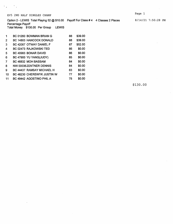$\epsilon_{\rm{max}}=2.5$ 

Option 2 - LEWIS Total Playing 52 @ \$10.00 Payoff For Class #4 4 Classes 2 Places

Percentage Payoff Total Money \$130.00 Per Group LEWIS

| 1  | BC 01260 BOWMAN BRIAN G    | 88 | \$39.00 |
|----|----------------------------|----|---------|
| 2  | BC 14803 HANCOCK DONALD    | 88 | \$39.00 |
| 3  | BC 42067 OTWAY DANIEL F    | 87 | \$52.00 |
| 4  | BC 02473 RAJKOWSKI TED     | 86 | \$0.00  |
| 5  | BC 40983 BONAR DAVID       | 86 | \$0.00  |
| 6  | BC 47900 YU YANG(JUDY)     | 85 | \$0.00  |
| 7  | BC 46832 MOH BASSAM        | 84 | \$0.00  |
| 8  | NW 00036ZENTNER DENNIS     | 84 | \$0.00  |
| 9  | BC 44437 RAMSAY MICHAEL H  | 83 | \$0.00  |
| 10 | BC 48230 CHEREWYK JUSTIN W | 77 | \$0.00  |
| 11 | BC 49442 AGOSTINO PHIL A   | 75 | \$0.00  |

\$130.00

 $\ddot{\phantom{a}}$ 

8/14/21 7:50:28 PM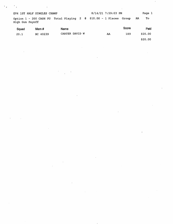| EV4 1ST HALF SINGLES CHAMP<br>Option 1 - 200 CASH PU Total Playing 2 @ \$10.00 - 1 Places Group |  | 8/14/21 7:59:03 PM |             | Page 1<br>То<br>AA |
|-------------------------------------------------------------------------------------------------|--|--------------------|-------------|--------------------|
| High Gun Payoff                                                                                 |  |                    |             |                    |
|                                                                                                 |  |                    | $0 - 0 - 0$ | -                  |

| Squad | Mem#     | Name           |    | Score | Paid    |  |
|-------|----------|----------------|----|-------|---------|--|
| 20.1  | BC 40239 | CARTER DAVID W | AA | 189   | \$20.00 |  |
|       |          |                |    |       | \$20.00 |  |
|       |          |                |    |       |         |  |

 $\label{eq:2.1} \Psi_{\rm eff} = \left( \frac{1}{2} \sum_{i=1}^n \frac{1}{2} \sum_{i=1}^n \frac{1}{2} \sum_{i=1}^n \frac{1}{2} \sum_{i=1}^n \frac{1}{2} \sum_{i=1}^n \frac{1}{2} \sum_{i=1}^n \frac{1}{2} \sum_{i=1}^n \frac{1}{2} \sum_{i=1}^n \frac{1}{2} \sum_{i=1}^n \frac{1}{2} \sum_{i=1}^n \frac{1}{2} \sum_{i=1}^n \frac{1}{2} \sum_{i=1}^n \frac{1}{2} \$ 

 $\label{eq:2.1} \frac{1}{2} \sum_{i=1}^n \frac{1}{2} \sum_{j=1}^n \frac{1}{2} \sum_{j=1}^n \frac{1}{2} \sum_{j=1}^n \frac{1}{2} \sum_{j=1}^n \frac{1}{2} \sum_{j=1}^n \frac{1}{2} \sum_{j=1}^n \frac{1}{2} \sum_{j=1}^n \frac{1}{2} \sum_{j=1}^n \frac{1}{2} \sum_{j=1}^n \frac{1}{2} \sum_{j=1}^n \frac{1}{2} \sum_{j=1}^n \frac{1}{2} \sum_{j=1}^n \frac{$ 

 $\mathcal{L}(\mathcal{L}^{\mathcal{L}}_{\mathcal{L}})$  and  $\mathcal{L}^{\mathcal{L}}_{\mathcal{L}}$  and  $\mathcal{L}^{\mathcal{L}}_{\mathcal{L}}$  and  $\mathcal{L}^{\mathcal{L}}_{\mathcal{L}}$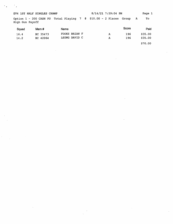EV4 1ST HALF SINGLES CHAMP 8/14/21 7:59:04 PM Page 1 Option 1 - 200 CASH PU Total Playing 7 @ \$10.00 - 2 Places Group A To High Gun Payoff Squad Mem # Name Name Squad Score Paid 16.4 BC 35473 FOOKS BRIAN F A 196 \$35.00 14.2 BC 42064 LEUNG DAVID C

 $\hat{\mathcal{L}}$ 

 $\mathcal{L}_{\mathcal{A}}$ 

 $\mathcal{L}_{\mathcal{A}}$ 

 $\hat{\mathcal{A}}$ 

 $\bar{z}$ 

\$70.00

 $\bar{z}$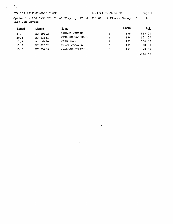#### EV4 1ST HALF SINGLES CHAMP 6/14/21 7:59:04 PM Page 1

 $\mathcal{O}_{\mathcal{F}_1}$  , and  $\mathcal{O}_{\mathcal{F}_2}$ 

 $\sim$ 

 $\sim$   $\sim$ 

 $\mathbb{R}^2$ 

 $\bar{z}$ 

 $\mathcal{L}_{\text{max}}$  and  $\mathcal{L}_{\text{max}}$  and  $\mathcal{L}_{\text{max}}$ 

Option 1 - 200 CASH PU Total Playing 17 @ \$10.00 - 4 Places Group B To High Gun Payoff

| Squad | Mem #    | Name                    |   | Score   | Paid     |
|-------|----------|-------------------------|---|---------|----------|
| 3.3   | BC 49102 | VIKRAM<br>SANDHU        | в | 195     | \$68,00  |
| 20.4  | BC 42361 | WIRAWAN MARSHALL        | в | $194 -$ | \$51.00  |
| 17.2  | BC 16660 | WADE DAVE               | в | 192     | \$34.00  |
| 17.5  | BC 02532 | WHITE JAMIE E           | в | 191     | \$8.50   |
| 15.5  | BC 35436 | <b>COLEMAN ROBERT E</b> | В | 191     | \$8.50   |
|       |          |                         |   |         | \$170.00 |

**Contract Contract** 

 $\sim$ 

 $\sim$   $\sim$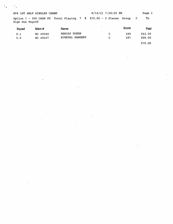EV4 1ST HALF SINGLES CHAMP 8/14/21 7:59:05 PM Page 1 Option 1 - 200 CASH PU Total Playing 7 @ \$10.00 - 2 Places Group C To High Gun Payoff

in the

 $\ddot{\phantom{a}}$  .

| Squad | Mem #    | <b>Name</b>     | $\overline{\phantom{a}}$ | Score | Paid    |
|-------|----------|-----------------|--------------------------|-------|---------|
| 8.1   | BC 49349 | REMIAS DUSAN    | C                        | 189   | \$42.00 |
| 5.5   | BC 49147 | BINEPAL SANDEEP | C                        | 187   | \$28.00 |
|       |          |                 |                          |       | \$70.00 |

 $\mathbf{r}$